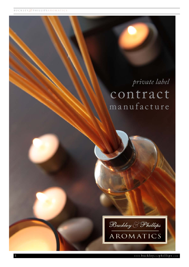# *private label* contract manufacture

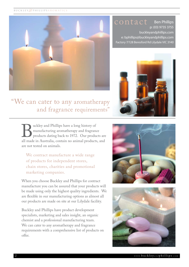

Ben Phillips p: (03) 9735 3755 buckleyandphillips.com e: bphillips@buckleyandphillips.com Factory 7/128 Beresford Rd Lilydale VIC 3140 contact



## "We can cater to any aromatherapy and fragrance requirements"

**Buckley and Phillips have a long history of** manufacturing aromatherapy and fragrance products dating back to 1972. Our products are all made in Australia, contain no animal products, and manufacturing aromatherapy and fragrance products dating back to 1972. Our products are are not tested on animals.

We contract manufacture a wide range of products for independent stores, chain stores, charities and promotional marketing companies.

When you choose Buckley and Phillips for contract manufacture you can be assured that your products will be made using only the highest quality ingredients. We are flexible in our manufacturing options as almost all our products are made on site at our Lilydale facility.

Buckley and Phillips have product development specialists, marketing and sales insight, an organic chemist and a professional manufacturing team. We can cater to any aromatherapy and fragrance requirements with a comprehensive list of products on offer.



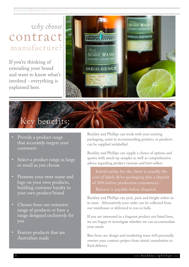## *why choose* contract manufacture?

If you're thinking of extending your brand and want to know what's involved - everything is explained here.





Key benefits:

- Select a product range as large or small as you choose
- Promote your store name and logo on your own products, building customer loyalty to your own product/brand
- Choose from our extensive range of products or have a range designed exclusively for you
- Feature products that are Australian made

Buckley and Phillips can work with your existing packaging, assist in recommending printers, or products can be supplied unlabelled.

Buckley and Phillips can supply a choice of options and quotes with mock-up samples as well as comprehensive advice regarding product variants and best-sellers.

Initial outlay for the client is usually the cost of labels &/or packaging plus a deposit of 30% before production commences. Balance is payable before dispatch.

Buckley and Phillips can pick, pack and freight orders in to store. Alternatively your order can be collected from our warehouse or delivered to you in bulk.

If you are interested in a fragrant product not listed here, we are happy to investigate whether we can accommodate your needs.

Ben from our design and marketing team will personally oversee your contract project from initial consultation to final delivery.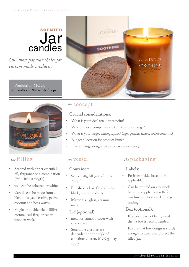## **SCENTED** Jar candles

*Our most popular choice for custom made products.*

Production MOQ: jar candles = **200 units / type**



#### *the* filling

- Scented with either essential oil, fragrance or a combination (5% - 10% strength)
- wax can be coloured or white
- Candle can be made from a blend of soya, paraffin, palm, coconut and bees waxes.
- Single or double wick (100% cotton, lead-free) or cedar wooden wick.



#### *the* concept

#### **Crucial considerations:**

- What is your ideal retail price point?
- Who are your competitors within this price range?
- What is your target demographic? (age, gender, tastes, socioeconomic)
- Budget allocation for product launch.
- Overall range design needs to have consistency.

#### **Container:**

- **• Sizes** 50g fill (votive) up to 750g fill.
- **• Finishes** clear, frosted, white, black, custom colours
- **• Materials** glass, ceramic, metal

#### **Lid (optional):**

- metal or bamboo cover with silicone seal.
- Stock line closures are dependant on the style of container chosen. MOQ's may apply.

#### *the* vessel *the* packaging

#### **Labels:**

- **• Position** side, base, lid (if applicable)
- Can be printed on any stock. Must be supplied on rolls for machine-application, left edge leading.

#### **Box (optional):**

- If a closure is not being used then a box is recommended.
- Ensure that box design is sturdy enough to carry and protect the filled jar.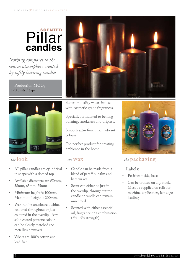## **SCENTED** Pillar **candles**

*Nothing compares to the warm atmosphere created by softly burning candles.*

Production MOQ: 120 units / type



#### *the* look

- All pillar candles are cylindrical in shape with a domed top.
- Available diameters are (50mm, 58mm, 65mm, 75mm
- Minimum height is 100mm. Maximum height is 200mm.
- Wax can be uncoloured white, coloured throughout or just coloured in the overdip. Any solid coated pantone colour can be closely matched (no metallics however).
- Wicks are 100% cotton and lead-free



Superior quality waxes infused with cosmetic grade fragrances.

Specially formulated to be long burning, smokeless and dripless.

Smooth satin finish, rich vibrant colours.

The perfect product for creating ambience in the home.

- Candle can be made from a blend of paraffin, palm and bees waxes.
- Scent can either be just in the overdip, throughout the candle or candle can remain unscented.
- Scented with either essential oil, fragrance or a combination (2% - 5% strength)



#### *the* wax *the* packaging

#### **Labels:**

- **• Position** side, base
- Can be printed on any stock. Must be supplied on rolls for machine-application, left edge leading.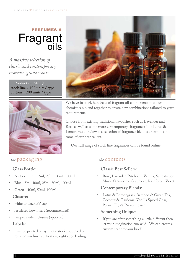# PERFUMES & Fragrant<br>oils

*A massive selection of classic and contemporary cosmetic-grade scents.*

Production MOQ: stock line = 100 units / type custom =  $200$  units / type



# Macadamia

We have in stock hundreds of fragrant oil components that our chemist can blend together to create new combinations tailored to your requirements.

Choose from existing traditional favourites such as Lavender and Rose as well as some more contemporary fragrances like Lotus & Lemongrass. Below is a selection of fragrance blend suggestions and some of our best sellers.

Our full range of stock line fragrances can be found online.

#### *the* packaging *the* contents

#### **Glass Bottle:**

- **• Amber** 5ml, 12ml, 25ml, 50ml, 100ml
- **• Blue** 5ml, 10ml, 25ml, 50ml, 100ml
- **• Green** 10ml, 50ml, 100ml **Closure:**
- white or black PP cap
- restricted flow insert (recommended)
- tamper evident closure (optional) **Labels:**
- must be printed on synthetic stock, supplied on rolls for machine-application, right edge leading.

#### **Classic Best Sellers:**

• Rose, Lavender, Patchouli, Vanilla, Sandalwood, Musk, Strawberry, Seabreeze, Rainforest, Violet

#### **Contemporary Blends:**

• Lotus & Lemongrass, Bamboo & Green Tea, Coconut & Gardenia, Vanilla Spiced Chai, Persian Fig & Passionflower

#### **Something Unique:**

If you are after something a little different then let your imagination run wild. We can create a custom scent to your brief.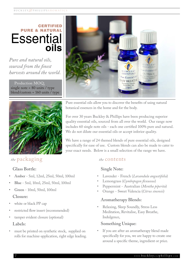## CERTIFIED PURE & NATURAL **Essential oils**

*Pure and natural oils, sourced from the finest harvests around the world.*

Production MOQ: single note = 80 units / type blend/custom = 160 units / type



*the* packaging *the* contents

#### **Glass Bottle:**

- **• Amber** 5ml, 12ml, 25ml, 50ml, 100ml
- **• Blue** 5ml, 10ml, 25ml, 50ml, 100ml
- **• Green** 10ml, 50ml, 100ml **Closure:**
- white or black PP cap
- restricted flow insert (recommended)
- tamper evident closure (optional) **Labels:**
- must be printed on synthetic stock, supplied on rolls for machine-application, right edge leading.



Pure essential oils allow you to discover the benefits of using natural botanical essences in the home and for the body.

For over 30 years Buckley & Phillips have been producing superior quality essential oils, sourced from all over the world. Our range now includes 60 single note oils - each one certified 100% pure and natural. We do not dilute our essential oils or accept inferior quality.

We have a range of 24 themed blends of pure essential oils, designed specifically for ease of use. Custom blends can also be made to cater to your exact needs. Below is a small selection of the range we have.

#### **Single Note:**

- Lavender French (*Lavandula angustifolia*)
- Lemongrass (*Cymbopogon flexuosus*)
- Peppermint Australian (*Mentha piperita*)
- Orange Sweet Valencia (*Citrus sinensis*)

#### **Aromatherapy Blends:**

• Relaxing, Sleep Soundly, Stress Less Meditation, Revitalise, Easy Breathe, Indulgence,

#### **Something Unique:**

If you are after an aromatherapy blend made specifically for you, we are happy to create one around a specific theme, ingredient or price.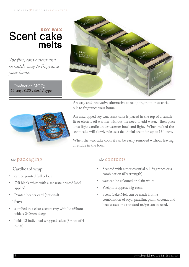## SOY WAX Scent cake **melts**

*The fun, convenient and versatile way to fragrance your home.*

Production MOQ: 15 trays (180 cakes) / type



An easy and innovative alternative to using fragrant or essential oils to fragrance your home.

An unwrapped soy wax scent cake is placed in the top of a candle lit or electric oil warmer without the need to add water. Then place a tea light candle under warmer bowl and light. When melted the scent cake will slowly release a delightful scent for up to 15 hours.

When the wax cake cools it can be easily removed without leaving a residue in the bowl.

#### *the* packaging *the* contents

#### **Cardboard wrap:**

- can be printed full colour
- **• OR** blank white with a separate printed label applied
- Printed header card (optional)

#### **Tray:**

- supplied in a clear acetate tray with lid (65mm wide x 240mm deep)
- holds 12 individual wrapped cakes (3 rows of 4 cakes)

- Scented with either essential oil, fragrance or a combination (8% strength)
- wax can be coloured or plain white
- Weight is approx 35g each.
- Scent Cake Melt can be made from a combination of soya, paraffin, palm, coconut and bees waxes or a standard recipe can be used.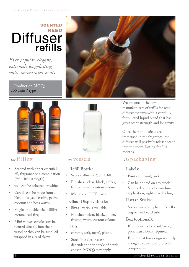## SCENTED REED **Diffuser refills**

*Ever popular, elegant, extremely long-lasting with concentrated scents*

#### Production MOQ: 200 units / type



### *the* filling

- Scented with either essential oil, fragrance or a combination (5% - 10% strength)
- wax can be coloured or white
- Candle can be made from a blend of soya, paraffin, palm, coconut and bees waxes.
- Single or double wick (100% cotton, lead-free)
- Mini votives candles can be poured directly into their vessel or they can be supplied wrapped in a card sleeve.





#### **Refill Bottle:**

- **• Sizes** 50mL 250mL fill.
- **• Finishes** clear, black, amber, frosted, white, custom colours
- **• Materials** PET plastic

#### **Glass Display Bottle:**

- **• Sizes** various available.
- **• Finishes** clear, black, amber, frosted, white, custom colours **Lid:**
- chrome, cork, metal, plastic.
- Stock line closures are dependant on the style of bottle chosen. MOQ's may apply.

We are one of the few manufacturers of refills for reed diffuser systems with a carefully formulated liquid blend that has great scent strength and longevity.

Once the rattan sticks are immersed in the fragrance, the diffuser will passively release scent into the room, lasting for 3-4 months.

#### *the* vessels *the* packaging

#### **Labels:**

- **• Position** front, back
- Can be printed on any stock. Supplied on rolls for machineapplication, right edge leading.

#### **Rattan Sticks:**

Sticks can be supplied in a cello bag or cardboard tube.

#### **Box (optional):**

- If a product is to be sold as a gift pack then a box is required.
- Ensure that box design is sturdy enough to carry and protect all components.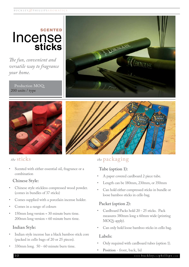## **SCENTED** Incense **sticks**

*The fun, convenient and versatile way to fragrance your home.*

Production MOQ: 200 units / type







Scented with either essential oil, fragrance or a combination

#### **Chinese Style:**

- Chinese style stickless compressed wood powder. (comes in bundles of 37 sticks)
- Comes supplied with a porcelain incense holder.
- Comes in a range of colours
- 150mm long version = 30 minute burn time. 200mm long version = 60 minute burn time.

#### **Indian Style:**

- Indian style incense has a black bamboo stick core (packed in cello bags of 20 or 25 pieces).
- 330mm long. 50 60 minute burn time.

#### *the* sticks *the* packaging

#### **Tube (option 1):**

- A paper covered cardboard 2 piece tube.
- Length can be 180mm, 230mm, or 350mm
- Can hold either compressed sticks in bundle or loose bamboo sticks in cello bag.

#### **Packet (option 2):**

- Cardboard Packs hold 20 25 sticks. Pack measures 380mm long x 60mm wide (printing MOQ's apply).
- Can only hold loose bamboo sticks in cello bag.

#### **Labels:**

- Only required with cardboard tubes (option 1).
- **• Position** front, back, lid